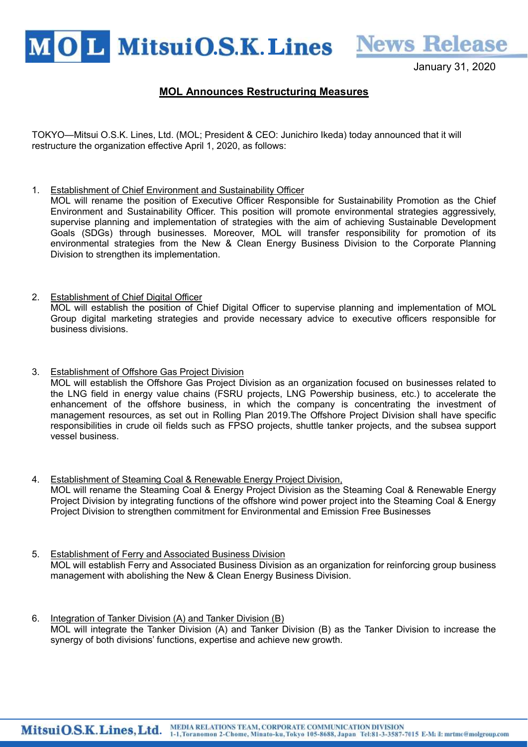MOL MitsuiO.S.K. Lines News Release

January 31, 2020

## MOL Announces Restructuring Measures

TOKYO—Mitsui O.S.K. Lines, Ltd. (MOL; President & CEO: Junichiro Ikeda) today announced that it will restructure the organization effective April 1, 2020, as follows:

1. Establishment of Chief Environment and Sustainability Officer

MOL will rename the position of Executive Officer Responsible for Sustainability Promotion as the Chief Environment and Sustainability Officer. This position will promote environmental strategies aggressively, supervise planning and implementation of strategies with the aim of achieving Sustainable Development Goals (SDGs) through businesses. Moreover, MOL will transfer responsibility for promotion of its environmental strategies from the New & Clean Energy Business Division to the Corporate Planning Division to strengthen its implementation.

- 2. Establishment of Chief Digital Officer MOL will establish the position of Chief Digital Officer to supervise planning and implementation of MOL Group digital marketing strategies and provide necessary advice to executive officers responsible for business divisions.
- 3. Establishment of Offshore Gas Project Division MOL will establish the Offshore Gas Project Division as an organization focused on businesses related to the LNG field in energy value chains (FSRU projects, LNG Powership business, etc.) to accelerate the enhancement of the offshore business, in which the company is concentrating the investment of management resources, as set out in Rolling Plan 2019.The Offshore Project Division shall have specific responsibilities in crude oil fields such as FPSO projects, shuttle tanker projects, and the subsea support vessel business.
- 4. Establishment of Steaming Coal & Renewable Energy Project Division, MOL will rename the Steaming Coal & Energy Project Division as the Steaming Coal & Renewable Energy Project Division by integrating functions of the offshore wind power project into the Steaming Coal & Energy Project Division to strengthen commitment for Environmental and Emission Free Businesses
- 5. Establishment of Ferry and Associated Business Division MOL will establish Ferry and Associated Business Division as an organization for reinforcing group business management with abolishing the New & Clean Energy Business Division.
- 6. Integration of Tanker Division (A) and Tanker Division (B) MOL will integrate the Tanker Division (A) and Tanker Division (B) as the Tanker Division to increase the synergy of both divisions' functions, expertise and achieve new growth.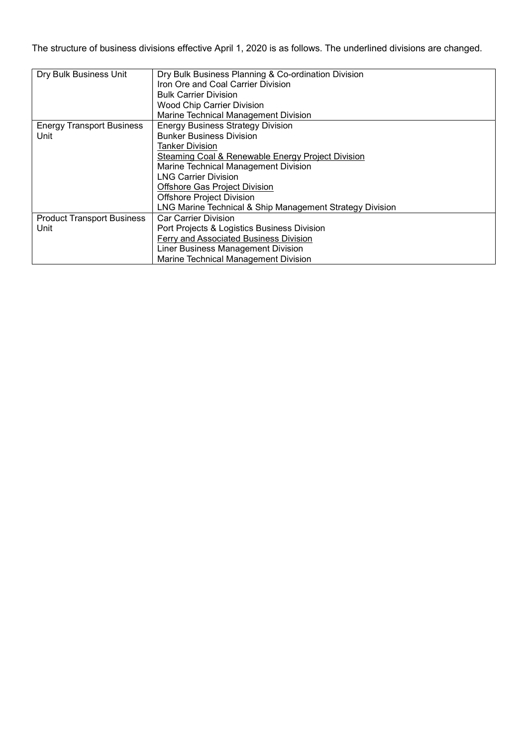The structure of business divisions effective April 1, 2020 is as follows. The underlined divisions are changed.

| Dry Bulk Business Unit            | Dry Bulk Business Planning & Co-ordination Division          |
|-----------------------------------|--------------------------------------------------------------|
|                                   | Iron Ore and Coal Carrier Division                           |
|                                   | <b>Bulk Carrier Division</b>                                 |
|                                   | <b>Wood Chip Carrier Division</b>                            |
|                                   | Marine Technical Management Division                         |
| <b>Energy Transport Business</b>  | <b>Energy Business Strategy Division</b>                     |
| Unit                              | <b>Bunker Business Division</b>                              |
|                                   | Tanker Division                                              |
|                                   | <b>Steaming Coal &amp; Renewable Energy Project Division</b> |
|                                   | Marine Technical Management Division                         |
|                                   | <b>LNG Carrier Division</b>                                  |
|                                   | Offshore Gas Project Division                                |
|                                   | <b>Offshore Project Division</b>                             |
|                                   | LNG Marine Technical & Ship Management Strategy Division     |
| <b>Product Transport Business</b> | <b>Car Carrier Division</b>                                  |
| Unit                              | Port Projects & Logistics Business Division                  |
|                                   | Ferry and Associated Business Division                       |
|                                   | Liner Business Management Division                           |
|                                   | Marine Technical Management Division                         |